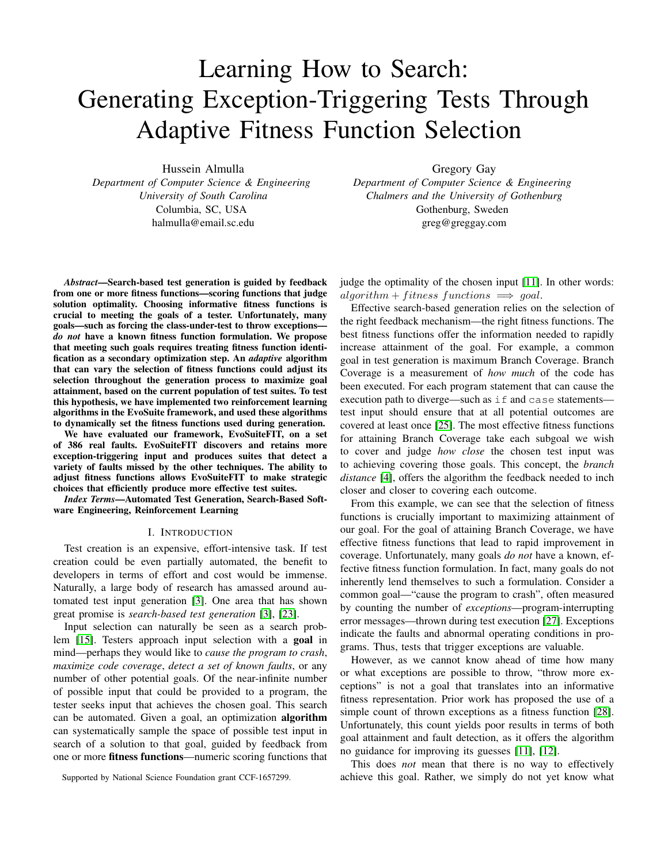# Learning How to Search: Generating Exception-Triggering Tests Through Adaptive Fitness Function Selection

Hussein Almulla *Department of Computer Science & Engineering University of South Carolina* Columbia, SC, USA halmulla@email.sc.edu

*Abstract*—Search-based test generation is guided by feedback from one or more fitness functions—scoring functions that judge solution optimality. Choosing informative fitness functions is crucial to meeting the goals of a tester. Unfortunately, many goals—such as forcing the class-under-test to throw exceptions *do not* have a known fitness function formulation. We propose that meeting such goals requires treating fitness function identification as a secondary optimization step. An *adaptive* algorithm that can vary the selection of fitness functions could adjust its selection throughout the generation process to maximize goal attainment, based on the current population of test suites. To test this hypothesis, we have implemented two reinforcement learning algorithms in the EvoSuite framework, and used these algorithms to dynamically set the fitness functions used during generation.

We have evaluated our framework, EvoSuiteFIT, on a set of 386 real faults. EvoSuiteFIT discovers and retains more exception-triggering input and produces suites that detect a variety of faults missed by the other techniques. The ability to adjust fitness functions allows EvoSuiteFIT to make strategic choices that efficiently produce more effective test suites.

*Index Terms*—Automated Test Generation, Search-Based Software Engineering, Reinforcement Learning

#### I. INTRODUCTION

<span id="page-0-0"></span>Test creation is an expensive, effort-intensive task. If test creation could be even partially automated, the benefit to developers in terms of effort and cost would be immense. Naturally, a large body of research has amassed around automated test input generation [\[3\]](#page-10-0). One area that has shown great promise is *search-based test generation* [\[3\]](#page-10-0), [\[23\]](#page-10-1).

Input selection can naturally be seen as a search problem [\[15\]](#page-10-2). Testers approach input selection with a goal in mind—perhaps they would like to *cause the program to crash*, *maximize code coverage*, *detect a set of known faults*, or any number of other potential goals. Of the near-infinite number of possible input that could be provided to a program, the tester seeks input that achieves the chosen goal. This search can be automated. Given a goal, an optimization **algorithm** can systematically sample the space of possible test input in search of a solution to that goal, guided by feedback from one or more fitness functions—numeric scoring functions that

Supported by National Science Foundation grant CCF-1657299.

Gregory Gay

*Department of Computer Science & Engineering Chalmers and the University of Gothenburg* Gothenburg, Sweden greg@greggay.com

judge the optimality of the chosen input [\[11\]](#page-10-3). In other words:  $algorithm + fitness functions \implies goal.$ 

Effective search-based generation relies on the selection of the right feedback mechanism—the right fitness functions. The best fitness functions offer the information needed to rapidly increase attainment of the goal. For example, a common goal in test generation is maximum Branch Coverage. Branch Coverage is a measurement of *how much* of the code has been executed. For each program statement that can cause the execution path to diverge—such as if and case statements test input should ensure that at all potential outcomes are covered at least once [\[25\]](#page-10-4). The most effective fitness functions for attaining Branch Coverage take each subgoal we wish to cover and judge *how close* the chosen test input was to achieving covering those goals. This concept, the *branch distance* [\[4\]](#page-10-5), offers the algorithm the feedback needed to inch closer and closer to covering each outcome.

From this example, we can see that the selection of fitness functions is crucially important to maximizing attainment of our goal. For the goal of attaining Branch Coverage, we have effective fitness functions that lead to rapid improvement in coverage. Unfortunately, many goals *do not* have a known, effective fitness function formulation. In fact, many goals do not inherently lend themselves to such a formulation. Consider a common goal—"cause the program to crash", often measured by counting the number of *exceptions*—program-interrupting error messages—thrown during test execution [\[27\]](#page-10-6). Exceptions indicate the faults and abnormal operating conditions in programs. Thus, tests that trigger exceptions are valuable.

However, as we cannot know ahead of time how many or what exceptions are possible to throw, "throw more exceptions" is not a goal that translates into an informative fitness representation. Prior work has proposed the use of a simple count of thrown exceptions as a fitness function [\[28\]](#page-10-7). Unfortunately, this count yields poor results in terms of both goal attainment and fault detection, as it offers the algorithm no guidance for improving its guesses [\[11\]](#page-10-3), [\[12\]](#page-10-8).

This does *not* mean that there is no way to effectively achieve this goal. Rather, we simply do not yet know what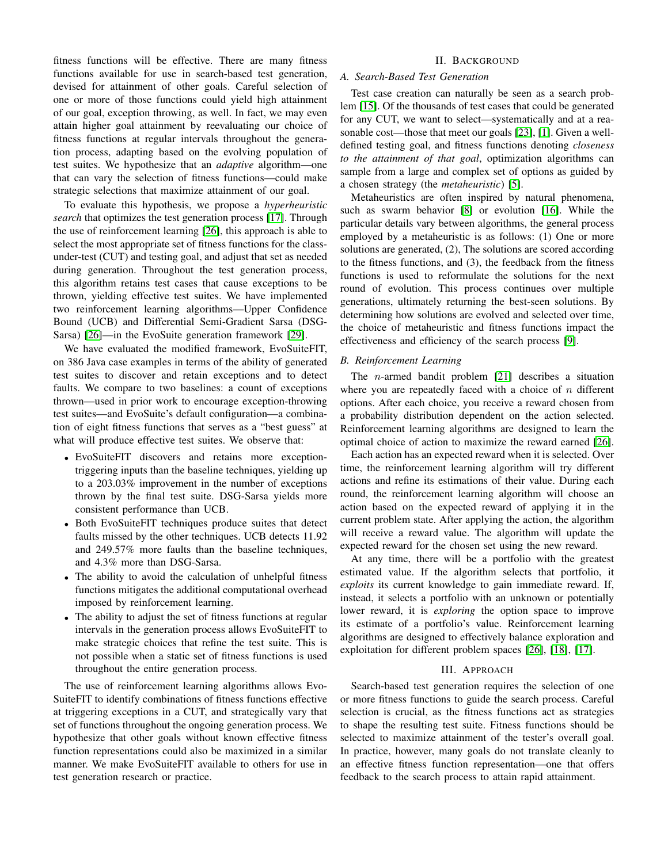fitness functions will be effective. There are many fitness functions available for use in search-based test generation, devised for attainment of other goals. Careful selection of one or more of those functions could yield high attainment of our goal, exception throwing, as well. In fact, we may even attain higher goal attainment by reevaluating our choice of fitness functions at regular intervals throughout the generation process, adapting based on the evolving population of test suites. We hypothesize that an *adaptive* algorithm—one that can vary the selection of fitness functions—could make strategic selections that maximize attainment of our goal.

To evaluate this hypothesis, we propose a *hyperheuristic search* that optimizes the test generation process [\[17\]](#page-10-9). Through the use of reinforcement learning [\[26\]](#page-10-10), this approach is able to select the most appropriate set of fitness functions for the classunder-test (CUT) and testing goal, and adjust that set as needed during generation. Throughout the test generation process, this algorithm retains test cases that cause exceptions to be thrown, yielding effective test suites. We have implemented two reinforcement learning algorithms—Upper Confidence Bound (UCB) and Differential Semi-Gradient Sarsa (DSG-Sarsa) [\[26\]](#page-10-10)—in the EvoSuite generation framework [\[29\]](#page-10-11).

We have evaluated the modified framework, EvoSuiteFIT, on 386 Java case examples in terms of the ability of generated test suites to discover and retain exceptions and to detect faults. We compare to two baselines: a count of exceptions thrown—used in prior work to encourage exception-throwing test suites—and EvoSuite's default configuration—a combination of eight fitness functions that serves as a "best guess" at what will produce effective test suites. We observe that:

- EvoSuiteFIT discovers and retains more exceptiontriggering inputs than the baseline techniques, yielding up to a 203.03% improvement in the number of exceptions thrown by the final test suite. DSG-Sarsa yields more consistent performance than UCB.
- Both EvoSuiteFIT techniques produce suites that detect faults missed by the other techniques. UCB detects 11.92 and 249.57% more faults than the baseline techniques, and 4.3% more than DSG-Sarsa.
- The ability to avoid the calculation of unhelpful fitness functions mitigates the additional computational overhead imposed by reinforcement learning.
- The ability to adjust the set of fitness functions at regular intervals in the generation process allows EvoSuiteFIT to make strategic choices that refine the test suite. This is not possible when a static set of fitness functions is used throughout the entire generation process.

The use of reinforcement learning algorithms allows Evo-SuiteFIT to identify combinations of fitness functions effective at triggering exceptions in a CUT, and strategically vary that set of functions throughout the ongoing generation process. We hypothesize that other goals without known effective fitness function representations could also be maximized in a similar manner. We make EvoSuiteFIT available to others for use in test generation research or practice.

# II. BACKGROUND

# *A. Search-Based Test Generation*

Test case creation can naturally be seen as a search problem [\[15\]](#page-10-2). Of the thousands of test cases that could be generated for any CUT, we want to select—systematically and at a reasonable cost—those that meet our goals [\[23\]](#page-10-1), [\[1\]](#page-10-12). Given a welldefined testing goal, and fitness functions denoting *closeness to the attainment of that goal*, optimization algorithms can sample from a large and complex set of options as guided by a chosen strategy (the *metaheuristic*) [\[5\]](#page-10-13).

Metaheuristics are often inspired by natural phenomena, such as swarm behavior [\[8\]](#page-10-14) or evolution [\[16\]](#page-10-15). While the particular details vary between algorithms, the general process employed by a metaheuristic is as follows: (1) One or more solutions are generated, (2), The solutions are scored according to the fitness functions, and (3), the feedback from the fitness functions is used to reformulate the solutions for the next round of evolution. This process continues over multiple generations, ultimately returning the best-seen solutions. By determining how solutions are evolved and selected over time, the choice of metaheuristic and fitness functions impact the effectiveness and efficiency of the search process [\[9\]](#page-10-16).

# *B. Reinforcement Learning*

The n-armed bandit problem [\[21\]](#page-10-17) describes a situation where you are repeatedly faced with a choice of  $n$  different options. After each choice, you receive a reward chosen from a probability distribution dependent on the action selected. Reinforcement learning algorithms are designed to learn the optimal choice of action to maximize the reward earned [\[26\]](#page-10-10).

Each action has an expected reward when it is selected. Over time, the reinforcement learning algorithm will try different actions and refine its estimations of their value. During each round, the reinforcement learning algorithm will choose an action based on the expected reward of applying it in the current problem state. After applying the action, the algorithm will receive a reward value. The algorithm will update the expected reward for the chosen set using the new reward.

At any time, there will be a portfolio with the greatest estimated value. If the algorithm selects that portfolio, it *exploits* its current knowledge to gain immediate reward. If, instead, it selects a portfolio with an unknown or potentially lower reward, it is *exploring* the option space to improve its estimate of a portfolio's value. Reinforcement learning algorithms are designed to effectively balance exploration and exploitation for different problem spaces [\[26\]](#page-10-10), [\[18\]](#page-10-18), [\[17\]](#page-10-9).

#### III. APPROACH

Search-based test generation requires the selection of one or more fitness functions to guide the search process. Careful selection is crucial, as the fitness functions act as strategies to shape the resulting test suite. Fitness functions should be selected to maximize attainment of the tester's overall goal. In practice, however, many goals do not translate cleanly to an effective fitness function representation—one that offers feedback to the search process to attain rapid attainment.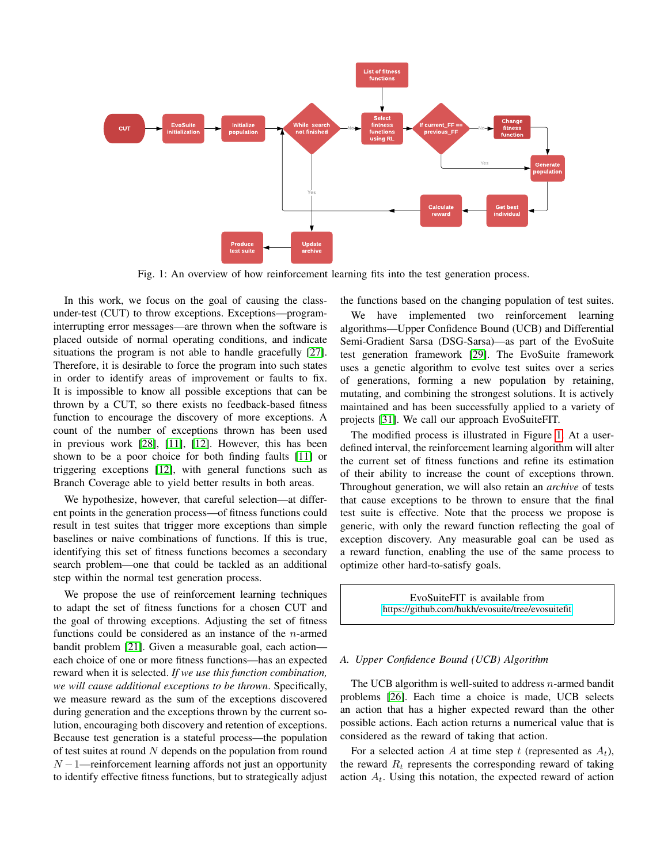<span id="page-2-0"></span>

Fig. 1: An overview of how reinforcement learning fits into the test generation process.

In this work, we focus on the goal of causing the classunder-test (CUT) to throw exceptions. Exceptions—programinterrupting error messages—are thrown when the software is placed outside of normal operating conditions, and indicate situations the program is not able to handle gracefully [\[27\]](#page-10-6). Therefore, it is desirable to force the program into such states in order to identify areas of improvement or faults to fix. It is impossible to know all possible exceptions that can be thrown by a CUT, so there exists no feedback-based fitness function to encourage the discovery of more exceptions. A count of the number of exceptions thrown has been used in previous work [\[28\]](#page-10-7), [\[11\]](#page-10-3), [\[12\]](#page-10-8). However, this has been shown to be a poor choice for both finding faults [\[11\]](#page-10-3) or triggering exceptions [\[12\]](#page-10-8), with general functions such as Branch Coverage able to yield better results in both areas.

We hypothesize, however, that careful selection—at different points in the generation process—of fitness functions could result in test suites that trigger more exceptions than simple baselines or naive combinations of functions. If this is true, identifying this set of fitness functions becomes a secondary search problem—one that could be tackled as an additional step within the normal test generation process.

We propose the use of reinforcement learning techniques to adapt the set of fitness functions for a chosen CUT and the goal of throwing exceptions. Adjusting the set of fitness functions could be considered as an instance of the n-armed bandit problem [\[21\]](#page-10-17). Given a measurable goal, each action each choice of one or more fitness functions—has an expected reward when it is selected. *If we use this function combination, we will cause additional exceptions to be thrown*. Specifically, we measure reward as the sum of the exceptions discovered during generation and the exceptions thrown by the current solution, encouraging both discovery and retention of exceptions. Because test generation is a stateful process—the population of test suites at round  $N$  depends on the population from round  $N-1$ —reinforcement learning affords not just an opportunity to identify effective fitness functions, but to strategically adjust

the functions based on the changing population of test suites.

We have implemented two reinforcement learning algorithms—Upper Confidence Bound (UCB) and Differential Semi-Gradient Sarsa (DSG-Sarsa)—as part of the EvoSuite test generation framework [\[29\]](#page-10-11). The EvoSuite framework uses a genetic algorithm to evolve test suites over a series of generations, forming a new population by retaining, mutating, and combining the strongest solutions. It is actively maintained and has been successfully applied to a variety of projects [\[31\]](#page-10-19). We call our approach EvoSuiteFIT.

The modified process is illustrated in Figure [1.](#page-2-0) At a userdefined interval, the reinforcement learning algorithm will alter the current set of fitness functions and refine its estimation of their ability to increase the count of exceptions thrown. Throughout generation, we will also retain an *archive* of tests that cause exceptions to be thrown to ensure that the final test suite is effective. Note that the process we propose is generic, with only the reward function reflecting the goal of exception discovery. Any measurable goal can be used as a reward function, enabling the use of the same process to optimize other hard-to-satisfy goals.

> EvoSuiteFIT is available from <https://github.com/hukh/evosuite/tree/evosuitefit>

### *A. Upper Confidence Bound (UCB) Algorithm*

The UCB algorithm is well-suited to address  $n$ -armed bandit problems [\[26\]](#page-10-10). Each time a choice is made, UCB selects an action that has a higher expected reward than the other possible actions. Each action returns a numerical value that is considered as the reward of taking that action.

For a selected action A at time step t (represented as  $A_t$ ), the reward  $R_t$  represents the corresponding reward of taking action  $A_t$ . Using this notation, the expected reward of action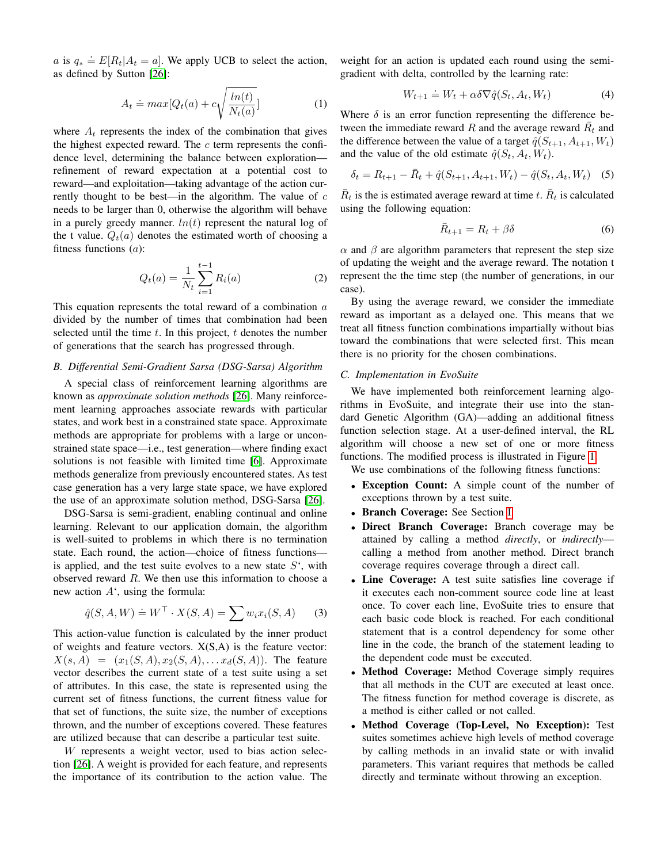a is  $q_* \doteq E[R_t | A_t = a]$ . We apply UCB to select the action, as defined by Sutton [\[26\]](#page-10-10):

$$
A_t \doteq max[Q_t(a) + c\sqrt{\frac{ln(t)}{N_t(a)}}]
$$
 (1)

where  $A_t$  represents the index of the combination that gives the highest expected reward. The  $c$  term represents the confidence level, determining the balance between exploration refinement of reward expectation at a potential cost to reward—and exploitation—taking advantage of the action currently thought to be best—in the algorithm. The value of  $c$ needs to be larger than 0, otherwise the algorithm will behave in a purely greedy manner.  $ln(t)$  represent the natural log of the t value.  $Q_t(a)$  denotes the estimated worth of choosing a fitness functions  $(a)$ :

$$
Q_t(a) = \frac{1}{N_t} \sum_{i=1}^{t-1} R_i(a)
$$
 (2)

This equation represents the total reward of a combination  $a$ divided by the number of times that combination had been selected until the time  $t$ . In this project,  $t$  denotes the number of generations that the search has progressed through.

#### *B. Differential Semi-Gradient Sarsa (DSG-Sarsa) Algorithm*

A special class of reinforcement learning algorithms are known as *approximate solution methods* [\[26\]](#page-10-10). Many reinforcement learning approaches associate rewards with particular states, and work best in a constrained state space. Approximate methods are appropriate for problems with a large or unconstrained state space—i.e., test generation—where finding exact solutions is not feasible with limited time [\[6\]](#page-10-20). Approximate methods generalize from previously encountered states. As test case generation has a very large state space, we have explored the use of an approximate solution method, DSG-Sarsa [\[26\]](#page-10-10).

DSG-Sarsa is semi-gradient, enabling continual and online learning. Relevant to our application domain, the algorithm is well-suited to problems in which there is no termination state. Each round, the action—choice of fitness functions is applied, and the test suite evolves to a new state  $S^*$ , with observed reward  $R$ . We then use this information to choose a new action  $A<sup>2</sup>$ , using the formula:

$$
\hat{q}(S, A, W) \doteq W^{\top} \cdot X(S, A) = \sum w_i x_i(S, A) \tag{3}
$$

This action-value function is calculated by the inner product of weights and feature vectors.  $X(S, A)$  is the feature vector:  $X(s, A) = (x_1(S, A), x_2(S, A), \ldots, x_d(S, A))$ . The feature vector describes the current state of a test suite using a set of attributes. In this case, the state is represented using the current set of fitness functions, the current fitness value for that set of functions, the suite size, the number of exceptions thrown, and the number of exceptions covered. These features are utilized because that can describe a particular test suite.

W represents a weight vector, used to bias action selection [\[26\]](#page-10-10). A weight is provided for each feature, and represents the importance of its contribution to the action value. The weight for an action is updated each round using the semigradient with delta, controlled by the learning rate:

$$
W_{t+1} \doteq W_t + \alpha \delta \nabla \hat{q}(S_t, A_t, W_t)
$$
\n(4)

Where  $\delta$  is an error function representing the difference between the immediate reward R and the average reward  $\overline{R}_t$  and the difference between the value of a target  $\hat{q}(S_{t+1}, A_{t+1}, W_t)$ and the value of the old estimate  $\hat{q}(S_t, A_t, W_t)$ .

$$
\delta_t = R_{t+1} - \bar{R}_t + \hat{q}(S_{t+1}, A_{t+1}, W_t) - \hat{q}(S_t, A_t, W_t)
$$
 (5)

 $\bar{R}_t$  is the is estimated average reward at time t.  $\bar{R}_t$  is calculated using the following equation:

$$
\bar{R}_{t+1} = R_t + \beta \delta \tag{6}
$$

 $\alpha$  and  $\beta$  are algorithm parameters that represent the step size of updating the weight and the average reward. The notation t represent the the time step (the number of generations, in our case).

By using the average reward, we consider the immediate reward as important as a delayed one. This means that we treat all fitness function combinations impartially without bias toward the combinations that were selected first. This mean there is no priority for the chosen combinations.

#### *C. Implementation in EvoSuite*

We have implemented both reinforcement learning algorithms in EvoSuite, and integrate their use into the standard Genetic Algorithm (GA)—adding an additional fitness function selection stage. At a user-defined interval, the RL algorithm will choose a new set of one or more fitness functions. The modified process is illustrated in Figure [1.](#page-2-0)

We use combinations of the following fitness functions:

- Exception Count: A simple count of the number of exceptions thrown by a test suite.
- Branch Coverage: See Section [I.](#page-0-0)
- Direct Branch Coverage: Branch coverage may be attained by calling a method *directly*, or *indirectly* calling a method from another method. Direct branch coverage requires coverage through a direct call.
- Line Coverage: A test suite satisfies line coverage if it executes each non-comment source code line at least once. To cover each line, EvoSuite tries to ensure that each basic code block is reached. For each conditional statement that is a control dependency for some other line in the code, the branch of the statement leading to the dependent code must be executed.
- Method Coverage: Method Coverage simply requires that all methods in the CUT are executed at least once. The fitness function for method coverage is discrete, as a method is either called or not called.
- Method Coverage (Top-Level, No Exception): Test suites sometimes achieve high levels of method coverage by calling methods in an invalid state or with invalid parameters. This variant requires that methods be called directly and terminate without throwing an exception.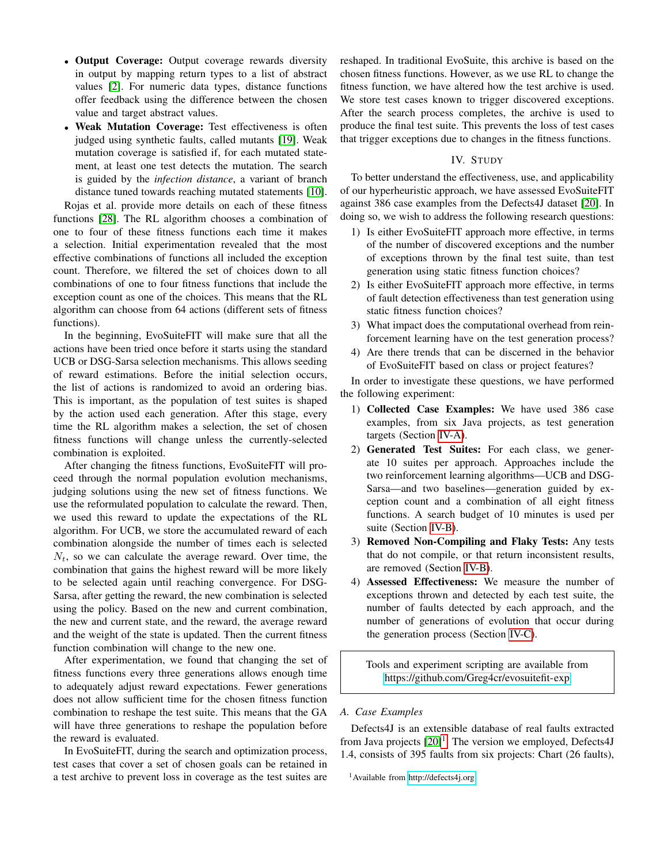- Output Coverage: Output coverage rewards diversity in output by mapping return types to a list of abstract values [\[2\]](#page-10-21). For numeric data types, distance functions offer feedback using the difference between the chosen value and target abstract values.
- Weak Mutation Coverage: Test effectiveness is often judged using synthetic faults, called mutants [\[19\]](#page-10-22). Weak mutation coverage is satisfied if, for each mutated statement, at least one test detects the mutation. The search is guided by the *infection distance*, a variant of branch distance tuned towards reaching mutated statements [\[10\]](#page-10-23).

Rojas et al. provide more details on each of these fitness functions [\[28\]](#page-10-7). The RL algorithm chooses a combination of one to four of these fitness functions each time it makes a selection. Initial experimentation revealed that the most effective combinations of functions all included the exception count. Therefore, we filtered the set of choices down to all combinations of one to four fitness functions that include the exception count as one of the choices. This means that the RL algorithm can choose from 64 actions (different sets of fitness functions).

In the beginning, EvoSuiteFIT will make sure that all the actions have been tried once before it starts using the standard UCB or DSG-Sarsa selection mechanisms. This allows seeding of reward estimations. Before the initial selection occurs, the list of actions is randomized to avoid an ordering bias. This is important, as the population of test suites is shaped by the action used each generation. After this stage, every time the RL algorithm makes a selection, the set of chosen fitness functions will change unless the currently-selected combination is exploited.

After changing the fitness functions, EvoSuiteFIT will proceed through the normal population evolution mechanisms, judging solutions using the new set of fitness functions. We use the reformulated population to calculate the reward. Then, we used this reward to update the expectations of the RL algorithm. For UCB, we store the accumulated reward of each combination alongside the number of times each is selected  $N_t$ , so we can calculate the average reward. Over time, the combination that gains the highest reward will be more likely to be selected again until reaching convergence. For DSG-Sarsa, after getting the reward, the new combination is selected using the policy. Based on the new and current combination, the new and current state, and the reward, the average reward and the weight of the state is updated. Then the current fitness function combination will change to the new one.

After experimentation, we found that changing the set of fitness functions every three generations allows enough time to adequately adjust reward expectations. Fewer generations does not allow sufficient time for the chosen fitness function combination to reshape the test suite. This means that the GA will have three generations to reshape the population before the reward is evaluated.

In EvoSuiteFIT, during the search and optimization process, test cases that cover a set of chosen goals can be retained in a test archive to prevent loss in coverage as the test suites are reshaped. In traditional EvoSuite, this archive is based on the chosen fitness functions. However, as we use RL to change the fitness function, we have altered how the test archive is used. We store test cases known to trigger discovered exceptions. After the search process completes, the archive is used to produce the final test suite. This prevents the loss of test cases that trigger exceptions due to changes in the fitness functions.

# IV. STUDY

To better understand the effectiveness, use, and applicability of our hyperheuristic approach, we have assessed EvoSuiteFIT against 386 case examples from the Defects4J dataset [\[20\]](#page-10-24). In doing so, we wish to address the following research questions:

- 1) Is either EvoSuiteFIT approach more effective, in terms of the number of discovered exceptions and the number of exceptions thrown by the final test suite, than test generation using static fitness function choices?
- 2) Is either EvoSuiteFIT approach more effective, in terms of fault detection effectiveness than test generation using static fitness function choices?
- 3) What impact does the computational overhead from reinforcement learning have on the test generation process?
- 4) Are there trends that can be discerned in the behavior of EvoSuiteFIT based on class or project features?

In order to investigate these questions, we have performed the following experiment:

- 1) Collected Case Examples: We have used 386 case examples, from six Java projects, as test generation targets (Section [IV-A\)](#page-4-0).
- 2) Generated Test Suites: For each class, we generate 10 suites per approach. Approaches include the two reinforcement learning algorithms—UCB and DSG-Sarsa—and two baselines—generation guided by exception count and a combination of all eight fitness functions. A search budget of 10 minutes is used per suite (Section [IV-B\)](#page-5-0).
- 3) Removed Non-Compiling and Flaky Tests: Any tests that do not compile, or that return inconsistent results, are removed (Section [IV-B\)](#page-5-0).
- 4) Assessed Effectiveness: We measure the number of exceptions thrown and detected by each test suite, the number of faults detected by each approach, and the number of generations of evolution that occur during the generation process (Section [IV-C\)](#page-5-1).

Tools and experiment scripting are available from <https://github.com/Greg4cr/evosuitefit-exp>

# <span id="page-4-0"></span>*A. Case Examples*

Defects4J is an extensible database of real faults extracted from Java projects  $[20]$ <sup>[1](#page-4-1)</sup>. The version we employed, Defects4J 1.4, consists of 395 faults from six projects: Chart (26 faults),

<span id="page-4-1"></span><sup>1</sup>Available from<http://defects4j.org>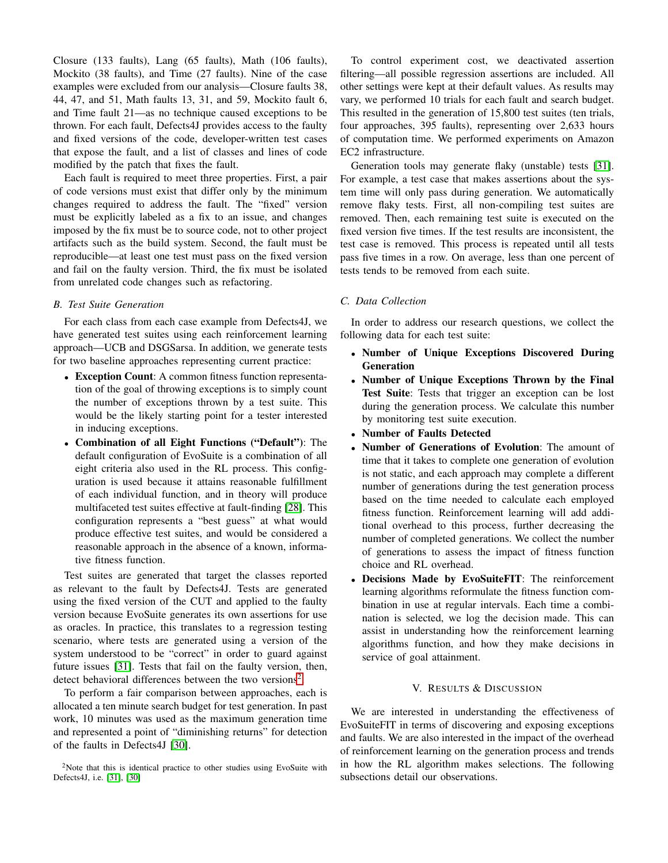Closure (133 faults), Lang (65 faults), Math (106 faults), Mockito (38 faults), and Time (27 faults). Nine of the case examples were excluded from our analysis—Closure faults 38, 44, 47, and 51, Math faults 13, 31, and 59, Mockito fault 6, and Time fault 21—as no technique caused exceptions to be thrown. For each fault, Defects4J provides access to the faulty and fixed versions of the code, developer-written test cases that expose the fault, and a list of classes and lines of code modified by the patch that fixes the fault.

Each fault is required to meet three properties. First, a pair of code versions must exist that differ only by the minimum changes required to address the fault. The "fixed" version must be explicitly labeled as a fix to an issue, and changes imposed by the fix must be to source code, not to other project artifacts such as the build system. Second, the fault must be reproducible—at least one test must pass on the fixed version and fail on the faulty version. Third, the fix must be isolated from unrelated code changes such as refactoring.

# <span id="page-5-0"></span>*B. Test Suite Generation*

For each class from each case example from Defects4J, we have generated test suites using each reinforcement learning approach—UCB and DSGSarsa. In addition, we generate tests for two baseline approaches representing current practice:

- Exception Count: A common fitness function representation of the goal of throwing exceptions is to simply count the number of exceptions thrown by a test suite. This would be the likely starting point for a tester interested in inducing exceptions.
- Combination of all Eight Functions ("Default"): The default configuration of EvoSuite is a combination of all eight criteria also used in the RL process. This configuration is used because it attains reasonable fulfillment of each individual function, and in theory will produce multifaceted test suites effective at fault-finding [\[28\]](#page-10-7). This configuration represents a "best guess" at what would produce effective test suites, and would be considered a reasonable approach in the absence of a known, informative fitness function.

Test suites are generated that target the classes reported as relevant to the fault by Defects4J. Tests are generated using the fixed version of the CUT and applied to the faulty version because EvoSuite generates its own assertions for use as oracles. In practice, this translates to a regression testing scenario, where tests are generated using a version of the system understood to be "correct" in order to guard against future issues [\[31\]](#page-10-19). Tests that fail on the faulty version, then, detect behavioral differences between the two versions<sup>[2](#page-5-2)</sup>.

To perform a fair comparison between approaches, each is allocated a ten minute search budget for test generation. In past work, 10 minutes was used as the maximum generation time and represented a point of "diminishing returns" for detection of the faults in Defects4J [\[30\]](#page-10-25).

To control experiment cost, we deactivated assertion filtering—all possible regression assertions are included. All other settings were kept at their default values. As results may vary, we performed 10 trials for each fault and search budget. This resulted in the generation of 15,800 test suites (ten trials, four approaches, 395 faults), representing over 2,633 hours of computation time. We performed experiments on Amazon EC2 infrastructure.

Generation tools may generate flaky (unstable) tests [\[31\]](#page-10-19). For example, a test case that makes assertions about the system time will only pass during generation. We automatically remove flaky tests. First, all non-compiling test suites are removed. Then, each remaining test suite is executed on the fixed version five times. If the test results are inconsistent, the test case is removed. This process is repeated until all tests pass five times in a row. On average, less than one percent of tests tends to be removed from each suite.

## <span id="page-5-1"></span>*C. Data Collection*

In order to address our research questions, we collect the following data for each test suite:

- Number of Unique Exceptions Discovered During Generation
- Number of Unique Exceptions Thrown by the Final Test Suite: Tests that trigger an exception can be lost during the generation process. We calculate this number by monitoring test suite execution.
- Number of Faults Detected
- Number of Generations of Evolution: The amount of time that it takes to complete one generation of evolution is not static, and each approach may complete a different number of generations during the test generation process based on the time needed to calculate each employed fitness function. Reinforcement learning will add additional overhead to this process, further decreasing the number of completed generations. We collect the number of generations to assess the impact of fitness function choice and RL overhead.
- Decisions Made by EvoSuiteFIT: The reinforcement learning algorithms reformulate the fitness function combination in use at regular intervals. Each time a combination is selected, we log the decision made. This can assist in understanding how the reinforcement learning algorithms function, and how they make decisions in service of goal attainment.

# V. RESULTS & DISCUSSION

We are interested in understanding the effectiveness of EvoSuiteFIT in terms of discovering and exposing exceptions and faults. We are also interested in the impact of the overhead of reinforcement learning on the generation process and trends in how the RL algorithm makes selections. The following subsections detail our observations.

<span id="page-5-2"></span> $2$ Note that this is identical practice to other studies using EvoSuite with Defects4J, i.e. [\[31\]](#page-10-19), [\[30\]](#page-10-25)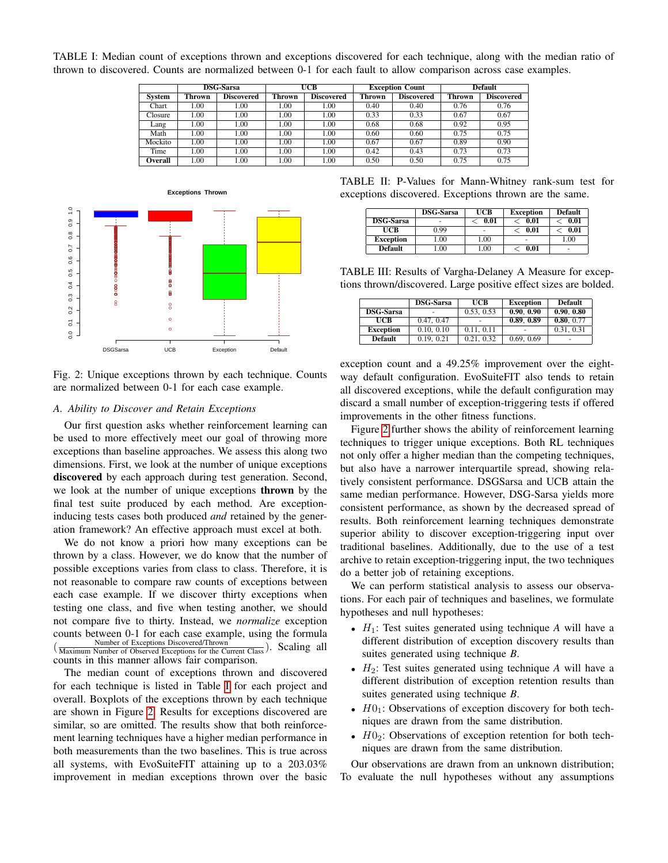<span id="page-6-0"></span>TABLE I: Median count of exceptions thrown and exceptions discovered for each technique, along with the median ratio of thrown to discovered. Counts are normalized between 0-1 for each fault to allow comparison across case examples.

| <b>DSG-Sarsa</b> |        |                   | UCB    | <b>Exception Count</b> |        | <b>Default</b>    |               |                   |
|------------------|--------|-------------------|--------|------------------------|--------|-------------------|---------------|-------------------|
| <b>System</b>    | Thrown | <b>Discovered</b> | Thrown | <b>Discovered</b>      | Thrown | <b>Discovered</b> | <b>Thrown</b> | <b>Discovered</b> |
| Chart            | 1.00   | .00               | 1.00   | 1.00                   | 0.40   | 0.40              | 0.76          | 0.76              |
| Closure          | 00.1   | .00               | 0.001  | 1.00                   | 0.33   | 0.33              | 0.67          | 0.67              |
| Lang             | 00.1   | .00               | 0.001  | 1.00                   | 0.68   | 0.68              | 0.92          | 0.95              |
| Math             | 00.1   | .00.              | 1.00   | 1.00                   | 0.60   | 0.60              | 0.75          | 0.75              |
| Mockito          | 1.00   | .00               | 1.00   | 1.00                   | 0.67   | 0.67              | 0.89          | 0.90              |
| Time             | 00.1   | .00               | 0.001  | 1.00                   | 0.42   | 0.43              | 0.73          | 0.73              |
| Overall          | 00.1   | .00               | 0.001  | 1.00                   | 0.50   | 0.50              | 0.75          | 0.75              |

<span id="page-6-1"></span>

Fig. 2: Unique exceptions thrown by each technique. Counts are normalized between 0-1 for each case example.

# *A. Ability to Discover and Retain Exceptions*

Our first question asks whether reinforcement learning can be used to more effectively meet our goal of throwing more exceptions than baseline approaches. We assess this along two dimensions. First, we look at the number of unique exceptions discovered by each approach during test generation. Second, we look at the number of unique exceptions thrown by the final test suite produced by each method. Are exceptioninducing tests cases both produced *and* retained by the generation framework? An effective approach must excel at both.

We do not know a priori how many exceptions can be thrown by a class. However, we do know that the number of possible exceptions varies from class to class. Therefore, it is not reasonable to compare raw counts of exceptions between each case example. If we discover thirty exceptions when testing one class, and five when testing another, we should not compare five to thirty. Instead, we *normalize* exception counts between 0-1 for each case example, using the formula ( **Number of Exceptions Discovered/Thrown**( **Maximum Number of Observed Exceptions for the Current Class**). Scaling all counts in this manner allows fair comparison.

The median count of exceptions thrown and discovered for each technique is listed in Table [I](#page-6-0) for each project and overall. Boxplots of the exceptions thrown by each technique are shown in Figure [2.](#page-6-1) Results for exceptions discovered are similar, so are omitted. The results show that both reinforcement learning techniques have a higher median performance in both measurements than the two baselines. This is true across all systems, with EvoSuiteFIT attaining up to a 203.03% improvement in median exceptions thrown over the basic

<span id="page-6-2"></span>TABLE II: P-Values for Mann-Whitney rank-sum test for exceptions discovered. Exceptions thrown are the same.

|                  | <b>DSG-Sarsa</b> | UCB  | <b>Exception</b> | <b>Default</b> |
|------------------|------------------|------|------------------|----------------|
| <b>DSG-Sarsa</b> |                  | 0.01 | 0.01             | 0.01           |
| UCB              | 0.99             |      | 0.01             | 0.01           |
| <b>Exception</b> | 00.1             | 1.00 |                  | 1.00           |
| <b>Default</b>   | .00              | .00. | 0.01             | ٠              |

<span id="page-6-3"></span>TABLE III: Results of Vargha-Delaney A Measure for exceptions thrown/discovered. Large positive effect sizes are bolded.

|                  | <b>DSG-Sarsa</b> | <b>UCB</b> | <b>Exception</b> | <b>Default</b> |
|------------------|------------------|------------|------------------|----------------|
| <b>DSG-Sarsa</b> |                  | 0.53, 0.53 | 0.90, 0.90       | 0.90. 0.80     |
| UCB              | 0.47, 0.47       |            | 0.89.0.89        | 0.80, 0.77     |
| <b>Exception</b> | 0.10, 0.10       | 0.11, 0.11 |                  | 0.31, 0.31     |
| <b>Default</b>   | 0.19, 0.21       | 0.21, 0.32 | 0.69, 0.69       | -              |

exception count and a 49.25% improvement over the eightway default configuration. EvoSuiteFIT also tends to retain all discovered exceptions, while the default configuration may discard a small number of exception-triggering tests if offered improvements in the other fitness functions.

Figure [2](#page-6-1) further shows the ability of reinforcement learning techniques to trigger unique exceptions. Both RL techniques not only offer a higher median than the competing techniques, but also have a narrower interquartile spread, showing relatively consistent performance. DSGSarsa and UCB attain the same median performance. However, DSG-Sarsa yields more consistent performance, as shown by the decreased spread of results. Both reinforcement learning techniques demonstrate superior ability to discover exception-triggering input over traditional baselines. Additionally, due to the use of a test archive to retain exception-triggering input, the two techniques do a better job of retaining exceptions.

We can perform statistical analysis to assess our observations. For each pair of techniques and baselines, we formulate hypotheses and null hypotheses:

- $H_1$ : Test suites generated using technique *A* will have a different distribution of exception discovery results than suites generated using technique *B*.
- H2: Test suites generated using technique *A* will have a different distribution of exception retention results than suites generated using technique *B*.
- $H0_1$ : Observations of exception discovery for both techniques are drawn from the same distribution.
- $H0_2$ : Observations of exception retention for both techniques are drawn from the same distribution.

Our observations are drawn from an unknown distribution; To evaluate the null hypotheses without any assumptions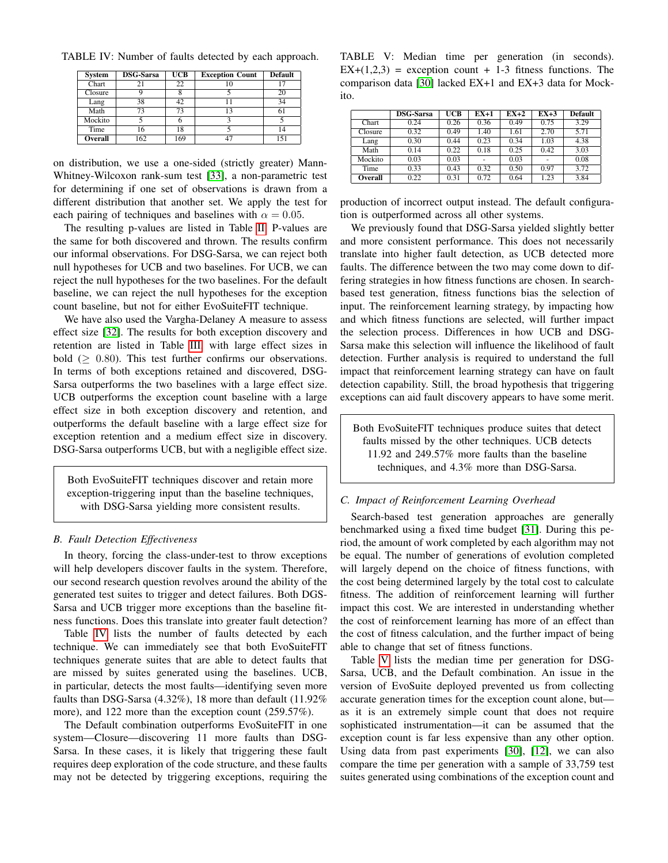<span id="page-7-0"></span>TABLE IV: Number of faults detected by each approach.

| System  | <b>DSG-Sarsa</b> | UCB | <b>Exception Count</b> | <b>Default</b> |
|---------|------------------|-----|------------------------|----------------|
| Chart   |                  | 22  |                        |                |
| Closure |                  |     |                        | 20             |
| Lang    | 38               | 42  |                        | 34             |
| Math    | 73               | 73  | 13                     |                |
| Mockito |                  |     |                        |                |
| Time    | 16               | 18  |                        |                |
| Overall | 162              | 169 |                        | 151            |

on distribution, we use a one-sided (strictly greater) Mann-Whitney-Wilcoxon rank-sum test [\[33\]](#page-10-26), a non-parametric test for determining if one set of observations is drawn from a different distribution that another set. We apply the test for each pairing of techniques and baselines with  $\alpha = 0.05$ .

The resulting p-values are listed in Table [II.](#page-6-2) P-values are the same for both discovered and thrown. The results confirm our informal observations. For DSG-Sarsa, we can reject both null hypotheses for UCB and two baselines. For UCB, we can reject the null hypotheses for the two baselines. For the default baseline, we can reject the null hypotheses for the exception count baseline, but not for either EvoSuiteFIT technique.

We have also used the Vargha-Delaney A measure to assess effect size [\[32\]](#page-10-27). The results for both exception discovery and retention are listed in Table [III,](#page-6-3) with large effect sizes in bold ( $\geq$  0.80). This test further confirms our observations. In terms of both exceptions retained and discovered, DSG-Sarsa outperforms the two baselines with a large effect size. UCB outperforms the exception count baseline with a large effect size in both exception discovery and retention, and outperforms the default baseline with a large effect size for exception retention and a medium effect size in discovery. DSG-Sarsa outperforms UCB, but with a negligible effect size.

Both EvoSuiteFIT techniques discover and retain more exception-triggering input than the baseline techniques, with DSG-Sarsa yielding more consistent results.

# *B. Fault Detection Effectiveness*

In theory, forcing the class-under-test to throw exceptions will help developers discover faults in the system. Therefore, our second research question revolves around the ability of the generated test suites to trigger and detect failures. Both DGS-Sarsa and UCB trigger more exceptions than the baseline fitness functions. Does this translate into greater fault detection?

Table [IV](#page-7-0) lists the number of faults detected by each technique. We can immediately see that both EvoSuiteFIT techniques generate suites that are able to detect faults that are missed by suites generated using the baselines. UCB, in particular, detects the most faults—identifying seven more faults than DSG-Sarsa (4.32%), 18 more than default (11.92% more), and 122 more than the exception count (259.57%).

The Default combination outperforms EvoSuiteFIT in one system—Closure—discovering 11 more faults than DSG-Sarsa. In these cases, it is likely that triggering these fault requires deep exploration of the code structure, and these faults may not be detected by triggering exceptions, requiring the

<span id="page-7-1"></span>TABLE V: Median time per generation (in seconds).  $EX+(1,2,3)$  = exception count + 1-3 fitness functions. The comparison data [\[30\]](#page-10-25) lacked EX+1 and EX+3 data for Mockito.

|         | <b>DSG-Sarsa</b> | <b>UCB</b> | $EX+1$ | $EX+2$ | $EX+3$ | <b>Default</b> |
|---------|------------------|------------|--------|--------|--------|----------------|
| Chart   | 0.24             | 0.26       | 0.36   | 0.49   | 0.75   | 3.29           |
| Closure | 0.32             | 0.49       | 1.40   | 1.61   | 2.70   | 5.71           |
| Lang    | 0.30             | 0.44       | 0.23   | 0.34   | 1.03   | 4.38           |
| Math    | 0.14             | 0.22       | 0.18   | 0.25   | 0.42   | 3.03           |
| Mockito | 0.03             | 0.03       |        | 0.03   |        | 0.08           |
| Time    | 0.33             | 0.43       | 0.32   | 0.50   | 0.97   | 3.72           |
| Overall | 0.22             | 0.31       | 0.72   | 0.64   | 1.23   | 3.84           |

production of incorrect output instead. The default configuration is outperformed across all other systems.

We previously found that DSG-Sarsa yielded slightly better and more consistent performance. This does not necessarily translate into higher fault detection, as UCB detected more faults. The difference between the two may come down to differing strategies in how fitness functions are chosen. In searchbased test generation, fitness functions bias the selection of input. The reinforcement learning strategy, by impacting how and which fitness functions are selected, will further impact the selection process. Differences in how UCB and DSG-Sarsa make this selection will influence the likelihood of fault detection. Further analysis is required to understand the full impact that reinforcement learning strategy can have on fault detection capability. Still, the broad hypothesis that triggering exceptions can aid fault discovery appears to have some merit.

Both EvoSuiteFIT techniques produce suites that detect faults missed by the other techniques. UCB detects 11.92 and 249.57% more faults than the baseline techniques, and 4.3% more than DSG-Sarsa.

# *C. Impact of Reinforcement Learning Overhead*

Search-based test generation approaches are generally benchmarked using a fixed time budget [\[31\]](#page-10-19). During this period, the amount of work completed by each algorithm may not be equal. The number of generations of evolution completed will largely depend on the choice of fitness functions, with the cost being determined largely by the total cost to calculate fitness. The addition of reinforcement learning will further impact this cost. We are interested in understanding whether the cost of reinforcement learning has more of an effect than the cost of fitness calculation, and the further impact of being able to change that set of fitness functions.

Table [V](#page-7-1) lists the median time per generation for DSG-Sarsa, UCB, and the Default combination. An issue in the version of EvoSuite deployed prevented us from collecting accurate generation times for the exception count alone, but as it is an extremely simple count that does not require sophisticated instrumentation—it can be assumed that the exception count is far less expensive than any other option. Using data from past experiments [\[30\]](#page-10-25), [\[12\]](#page-10-8), we can also compare the time per generation with a sample of 33,759 test suites generated using combinations of the exception count and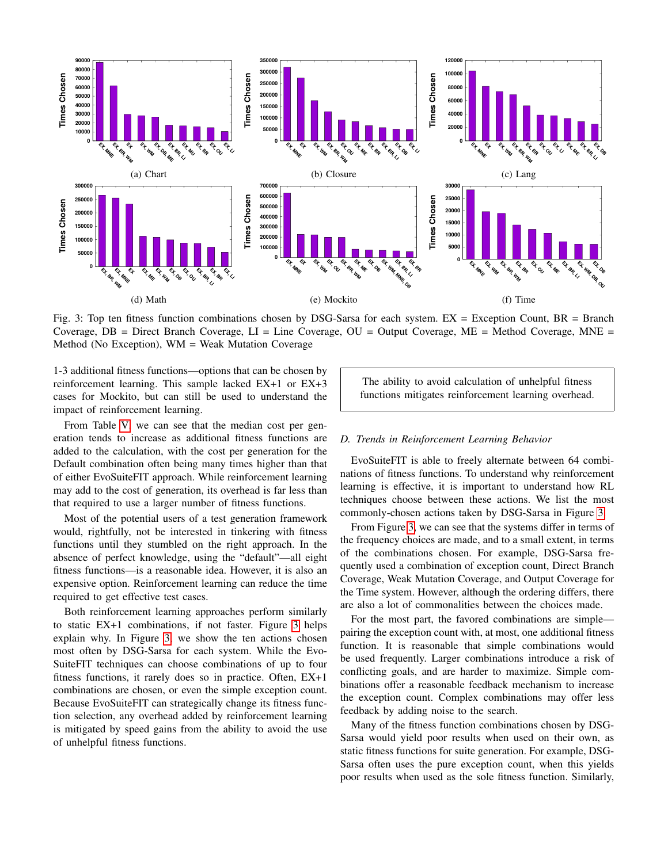<span id="page-8-0"></span>

Fig. 3: Top ten fitness function combinations chosen by DSG-Sarsa for each system. EX = Exception Count, BR = Branch Coverage, DB = Direct Branch Coverage, LI = Line Coverage, OU = Output Coverage, ME = Method Coverage, MNE = Method (No Exception), WM = Weak Mutation Coverage

1-3 additional fitness functions—options that can be chosen by reinforcement learning. This sample lacked EX+1 or EX+3 cases for Mockito, but can still be used to understand the impact of reinforcement learning.

From Table [V,](#page-7-1) we can see that the median cost per generation tends to increase as additional fitness functions are added to the calculation, with the cost per generation for the Default combination often being many times higher than that of either EvoSuiteFIT approach. While reinforcement learning may add to the cost of generation, its overhead is far less than that required to use a larger number of fitness functions.

Most of the potential users of a test generation framework would, rightfully, not be interested in tinkering with fitness functions until they stumbled on the right approach. In the absence of perfect knowledge, using the "default"—all eight fitness functions—is a reasonable idea. However, it is also an expensive option. Reinforcement learning can reduce the time required to get effective test cases.

Both reinforcement learning approaches perform similarly to static EX+1 combinations, if not faster. Figure [3](#page-8-0) helps explain why. In Figure [3,](#page-8-0) we show the ten actions chosen most often by DSG-Sarsa for each system. While the Evo-SuiteFIT techniques can choose combinations of up to four fitness functions, it rarely does so in practice. Often, EX+1 combinations are chosen, or even the simple exception count. Because EvoSuiteFIT can strategically change its fitness function selection, any overhead added by reinforcement learning is mitigated by speed gains from the ability to avoid the use of unhelpful fitness functions.

The ability to avoid calculation of unhelpful fitness functions mitigates reinforcement learning overhead.

#### *D. Trends in Reinforcement Learning Behavior*

EvoSuiteFIT is able to freely alternate between 64 combinations of fitness functions. To understand why reinforcement learning is effective, it is important to understand how RL techniques choose between these actions. We list the most commonly-chosen actions taken by DSG-Sarsa in Figure [3.](#page-8-0)

From Figure [3,](#page-8-0) we can see that the systems differ in terms of the frequency choices are made, and to a small extent, in terms of the combinations chosen. For example, DSG-Sarsa frequently used a combination of exception count, Direct Branch Coverage, Weak Mutation Coverage, and Output Coverage for the Time system. However, although the ordering differs, there are also a lot of commonalities between the choices made.

For the most part, the favored combinations are simple pairing the exception count with, at most, one additional fitness function. It is reasonable that simple combinations would be used frequently. Larger combinations introduce a risk of conflicting goals, and are harder to maximize. Simple combinations offer a reasonable feedback mechanism to increase the exception count. Complex combinations may offer less feedback by adding noise to the search.

Many of the fitness function combinations chosen by DSG-Sarsa would yield poor results when used on their own, as static fitness functions for suite generation. For example, DSG-Sarsa often uses the pure exception count, when this yields poor results when used as the sole fitness function. Similarly,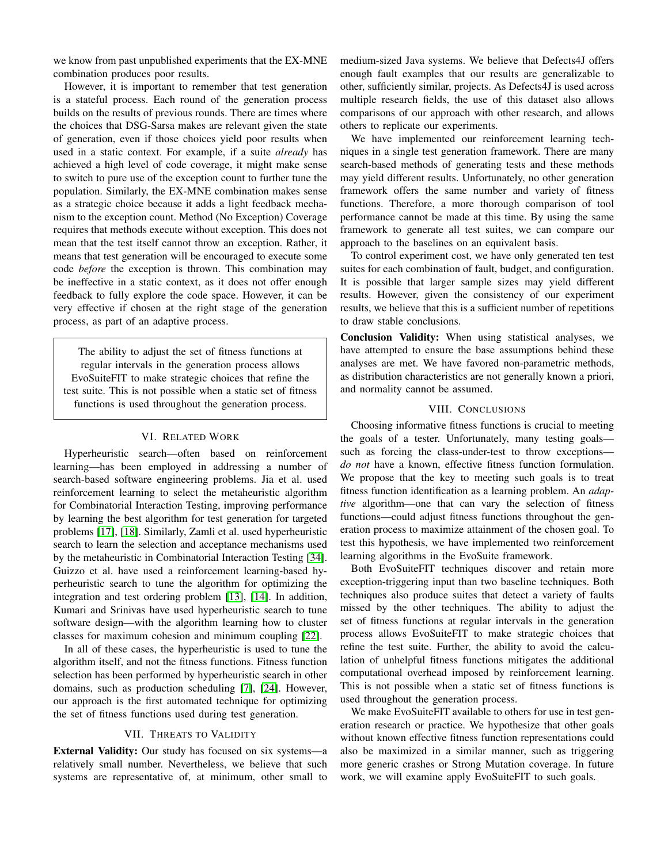we know from past unpublished experiments that the EX-MNE combination produces poor results.

However, it is important to remember that test generation is a stateful process. Each round of the generation process builds on the results of previous rounds. There are times where the choices that DSG-Sarsa makes are relevant given the state of generation, even if those choices yield poor results when used in a static context. For example, if a suite *already* has achieved a high level of code coverage, it might make sense to switch to pure use of the exception count to further tune the population. Similarly, the EX-MNE combination makes sense as a strategic choice because it adds a light feedback mechanism to the exception count. Method (No Exception) Coverage requires that methods execute without exception. This does not mean that the test itself cannot throw an exception. Rather, it means that test generation will be encouraged to execute some code *before* the exception is thrown. This combination may be ineffective in a static context, as it does not offer enough feedback to fully explore the code space. However, it can be very effective if chosen at the right stage of the generation process, as part of an adaptive process.

The ability to adjust the set of fitness functions at regular intervals in the generation process allows EvoSuiteFIT to make strategic choices that refine the test suite. This is not possible when a static set of fitness functions is used throughout the generation process.

## VI. RELATED WORK

Hyperheuristic search—often based on reinforcement learning—has been employed in addressing a number of search-based software engineering problems. Jia et al. used reinforcement learning to select the metaheuristic algorithm for Combinatorial Interaction Testing, improving performance by learning the best algorithm for test generation for targeted problems [\[17\]](#page-10-9), [\[18\]](#page-10-18). Similarly, Zamli et al. used hyperheuristic search to learn the selection and acceptance mechanisms used by the metaheuristic in Combinatorial Interaction Testing [\[34\]](#page-10-28). Guizzo et al. have used a reinforcement learning-based hyperheuristic search to tune the algorithm for optimizing the integration and test ordering problem [\[13\]](#page-10-29), [\[14\]](#page-10-30). In addition, Kumari and Srinivas have used hyperheuristic search to tune software design—with the algorithm learning how to cluster classes for maximum cohesion and minimum coupling [\[22\]](#page-10-31).

In all of these cases, the hyperheuristic is used to tune the algorithm itself, and not the fitness functions. Fitness function selection has been performed by hyperheuristic search in other domains, such as production scheduling [\[7\]](#page-10-32), [\[24\]](#page-10-33). However, our approach is the first automated technique for optimizing the set of fitness functions used during test generation.

# VII. THREATS TO VALIDITY

External Validity: Our study has focused on six systems—a relatively small number. Nevertheless, we believe that such systems are representative of, at minimum, other small to medium-sized Java systems. We believe that Defects4J offers enough fault examples that our results are generalizable to other, sufficiently similar, projects. As Defects4J is used across multiple research fields, the use of this dataset also allows comparisons of our approach with other research, and allows others to replicate our experiments.

We have implemented our reinforcement learning techniques in a single test generation framework. There are many search-based methods of generating tests and these methods may yield different results. Unfortunately, no other generation framework offers the same number and variety of fitness functions. Therefore, a more thorough comparison of tool performance cannot be made at this time. By using the same framework to generate all test suites, we can compare our approach to the baselines on an equivalent basis.

To control experiment cost, we have only generated ten test suites for each combination of fault, budget, and configuration. It is possible that larger sample sizes may yield different results. However, given the consistency of our experiment results, we believe that this is a sufficient number of repetitions to draw stable conclusions.

Conclusion Validity: When using statistical analyses, we have attempted to ensure the base assumptions behind these analyses are met. We have favored non-parametric methods, as distribution characteristics are not generally known a priori, and normality cannot be assumed.

# VIII. CONCLUSIONS

Choosing informative fitness functions is crucial to meeting the goals of a tester. Unfortunately, many testing goals such as forcing the class-under-test to throw exceptions *do not* have a known, effective fitness function formulation. We propose that the key to meeting such goals is to treat fitness function identification as a learning problem. An *adaptive* algorithm—one that can vary the selection of fitness functions—could adjust fitness functions throughout the generation process to maximize attainment of the chosen goal. To test this hypothesis, we have implemented two reinforcement learning algorithms in the EvoSuite framework.

Both EvoSuiteFIT techniques discover and retain more exception-triggering input than two baseline techniques. Both techniques also produce suites that detect a variety of faults missed by the other techniques. The ability to adjust the set of fitness functions at regular intervals in the generation process allows EvoSuiteFIT to make strategic choices that refine the test suite. Further, the ability to avoid the calculation of unhelpful fitness functions mitigates the additional computational overhead imposed by reinforcement learning. This is not possible when a static set of fitness functions is used throughout the generation process.

We make EvoSuiteFIT available to others for use in test generation research or practice. We hypothesize that other goals without known effective fitness function representations could also be maximized in a similar manner, such as triggering more generic crashes or Strong Mutation coverage. In future work, we will examine apply EvoSuiteFIT to such goals.